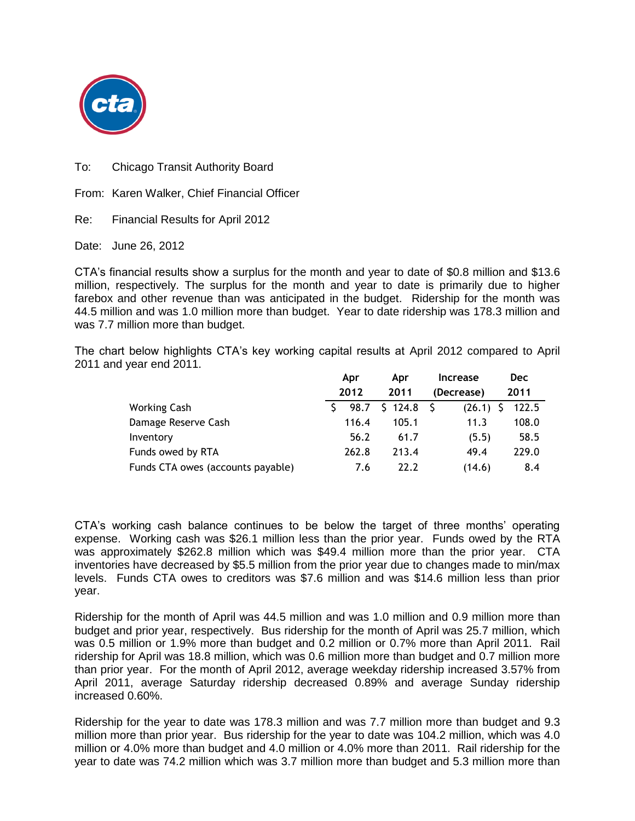

To: Chicago Transit Authority Board

From: Karen Walker, Chief Financial Officer

Re: Financial Results for April 2012

Date: June 26, 2012

CTA's financial results show a surplus for the month and year to date of \$0.8 million and \$13.6 million, respectively. The surplus for the month and year to date is primarily due to higher farebox and other revenue than was anticipated in the budget. Ridership for the month was 44.5 million and was 1.0 million more than budget. Year to date ridership was 178.3 million and was 7.7 million more than budget.

The chart below highlights CTA's key working capital results at April 2012 compared to April 2011 and year end 2011.

|                                   | Apr   | Apr     | <b>Increase</b> | <b>Dec</b> |
|-----------------------------------|-------|---------|-----------------|------------|
|                                   | 2012  | 2011    | (Decrease)      | 2011       |
| <b>Working Cash</b>               | 98.7  | \$124.8 | (26.1)          | 122.5      |
| Damage Reserve Cash               | 116.4 | 105.1   | 11.3            | 108.0      |
| Inventory                         | 56.2  | 61.7    | (5.5)           | 58.5       |
| Funds owed by RTA                 | 262.8 | 213.4   | 49.4            | 229.0      |
| Funds CTA owes (accounts payable) | 7.6   | 22.2    | (14.6)          | 8.4        |

CTA's working cash balance continues to be below the target of three months' operating expense. Working cash was \$26.1 million less than the prior year. Funds owed by the RTA was approximately \$262.8 million which was \$49.4 million more than the prior year. CTA inventories have decreased by \$5.5 million from the prior year due to changes made to min/max levels. Funds CTA owes to creditors was \$7.6 million and was \$14.6 million less than prior year.

Ridership for the month of April was 44.5 million and was 1.0 million and 0.9 million more than budget and prior year, respectively. Bus ridership for the month of April was 25.7 million, which was 0.5 million or 1.9% more than budget and 0.2 million or 0.7% more than April 2011. Rail ridership for April was 18.8 million, which was 0.6 million more than budget and 0.7 million more than prior year. For the month of April 2012, average weekday ridership increased 3.57% from April 2011, average Saturday ridership decreased 0.89% and average Sunday ridership increased 0.60%.

Ridership for the year to date was 178.3 million and was 7.7 million more than budget and 9.3 million more than prior year. Bus ridership for the year to date was 104.2 million, which was 4.0 million or 4.0% more than budget and 4.0 million or 4.0% more than 2011. Rail ridership for the year to date was 74.2 million which was 3.7 million more than budget and 5.3 million more than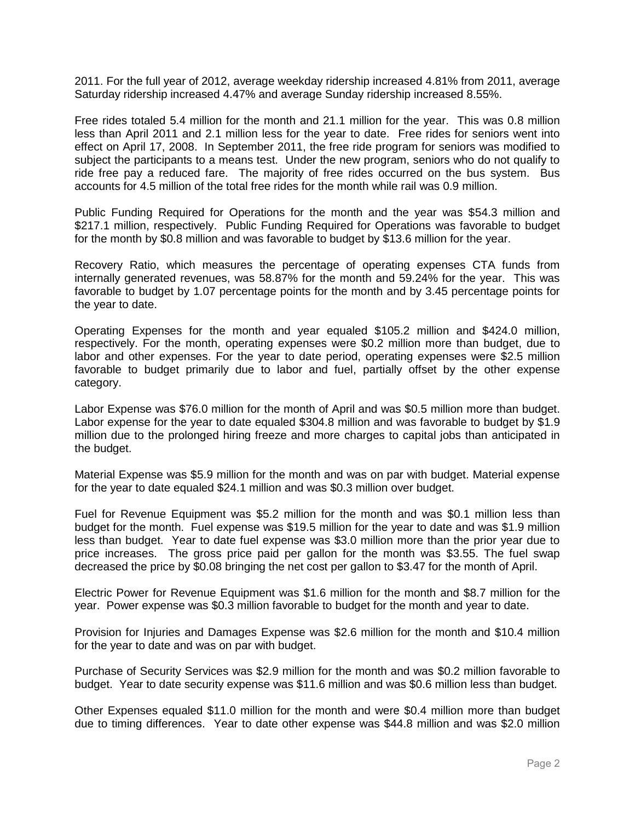2011. For the full year of 2012, average weekday ridership increased 4.81% from 2011, average Saturday ridership increased 4.47% and average Sunday ridership increased 8.55%.

Free rides totaled 5.4 million for the month and 21.1 million for the year. This was 0.8 million less than April 2011 and 2.1 million less for the year to date. Free rides for seniors went into effect on April 17, 2008. In September 2011, the free ride program for seniors was modified to subject the participants to a means test. Under the new program, seniors who do not qualify to ride free pay a reduced fare. The majority of free rides occurred on the bus system. Bus accounts for 4.5 million of the total free rides for the month while rail was 0.9 million.

Public Funding Required for Operations for the month and the year was \$54.3 million and \$217.1 million, respectively. Public Funding Required for Operations was favorable to budget for the month by \$0.8 million and was favorable to budget by \$13.6 million for the year.

Recovery Ratio, which measures the percentage of operating expenses CTA funds from internally generated revenues, was 58.87% for the month and 59.24% for the year. This was favorable to budget by 1.07 percentage points for the month and by 3.45 percentage points for the year to date.

Operating Expenses for the month and year equaled \$105.2 million and \$424.0 million, respectively. For the month, operating expenses were \$0.2 million more than budget, due to labor and other expenses. For the year to date period, operating expenses were \$2.5 million favorable to budget primarily due to labor and fuel, partially offset by the other expense category.

Labor Expense was \$76.0 million for the month of April and was \$0.5 million more than budget. Labor expense for the year to date equaled \$304.8 million and was favorable to budget by \$1.9 million due to the prolonged hiring freeze and more charges to capital jobs than anticipated in the budget.

Material Expense was \$5.9 million for the month and was on par with budget. Material expense for the year to date equaled \$24.1 million and was \$0.3 million over budget.

Fuel for Revenue Equipment was \$5.2 million for the month and was \$0.1 million less than budget for the month. Fuel expense was \$19.5 million for the year to date and was \$1.9 million less than budget. Year to date fuel expense was \$3.0 million more than the prior year due to price increases. The gross price paid per gallon for the month was \$3.55. The fuel swap decreased the price by \$0.08 bringing the net cost per gallon to \$3.47 for the month of April.

Electric Power for Revenue Equipment was \$1.6 million for the month and \$8.7 million for the year. Power expense was \$0.3 million favorable to budget for the month and year to date.

Provision for Injuries and Damages Expense was \$2.6 million for the month and \$10.4 million for the year to date and was on par with budget.

Purchase of Security Services was \$2.9 million for the month and was \$0.2 million favorable to budget. Year to date security expense was \$11.6 million and was \$0.6 million less than budget.

Other Expenses equaled \$11.0 million for the month and were \$0.4 million more than budget due to timing differences. Year to date other expense was \$44.8 million and was \$2.0 million